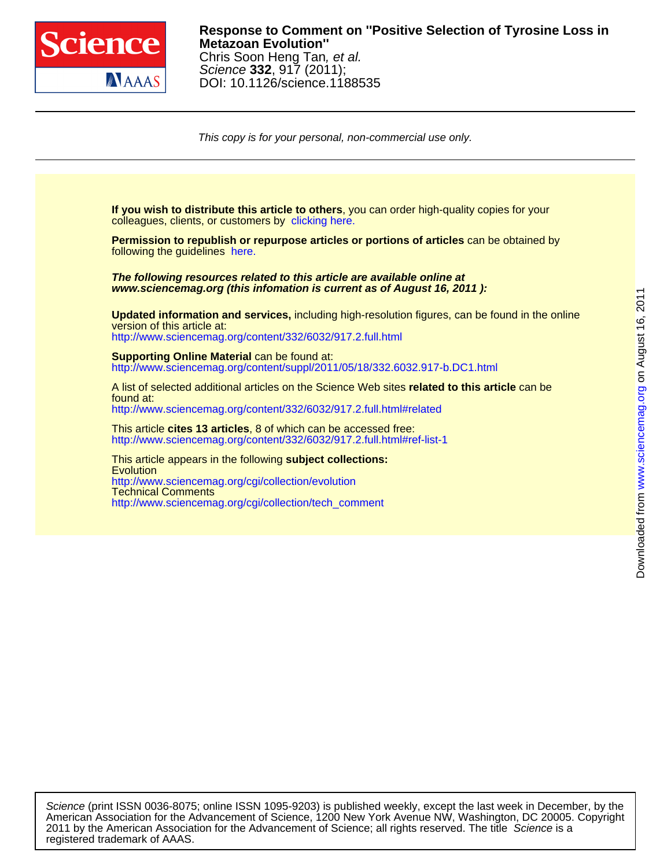

## DOI: 10.1126/science.1188535 Science **332**, 917 (2011); Chris Soon Heng Tan, et al. **Metazoan Evolution'' Response to Comment on ''Positive Selection of Tyrosine Loss in**

This copy is for your personal, non-commercial use only.

colleagues, clients, or customers by [clicking here.](http://www.sciencemag.org/about/permissions.dtl) **If you wish to distribute this article to others**, you can order high-quality copies for your following the guidelines [here.](http://www.sciencemag.org/about/permissions.dtl) **Permission to republish or repurpose articles or portions of articles** can be obtained by **www.sciencemag.org (this infomation is current as of August 16, 2011 ): The following resources related to this article are available online at** <http://www.sciencemag.org/content/332/6032/917.2.full.html> version of this article at: **Updated information and services,** including high-resolution figures, can be found in the online http://www.sciencemag.org/content/suppl/2011/05/18/332.6032.917-b.DC1.html **Supporting Online Material can be found at:** <http://www.sciencemag.org/content/332/6032/917.2.full.html#related> found at: A list of selected additional articles on the Science Web sites **related to this article** can be <http://www.sciencemag.org/content/332/6032/917.2.full.html#ref-list-1> This article **cites 13 articles**, 8 of which can be accessed free: [http://www.sciencemag.org/cgi/collection/tech\\_comment](http://www.sciencemag.org/cgi/collection/tech_comment) Technical Comments <http://www.sciencemag.org/cgi/collection/evolution> **Evolution** This article appears in the following **subject collections:**

registered trademark of AAAS. 2011 by the American Association for the Advancement of Science; all rights reserved. The title Science is a American Association for the Advancement of Science, 1200 New York Avenue NW, Washington, DC 20005. Copyright Science (print ISSN 0036-8075; online ISSN 1095-9203) is published weekly, except the last week in December, by the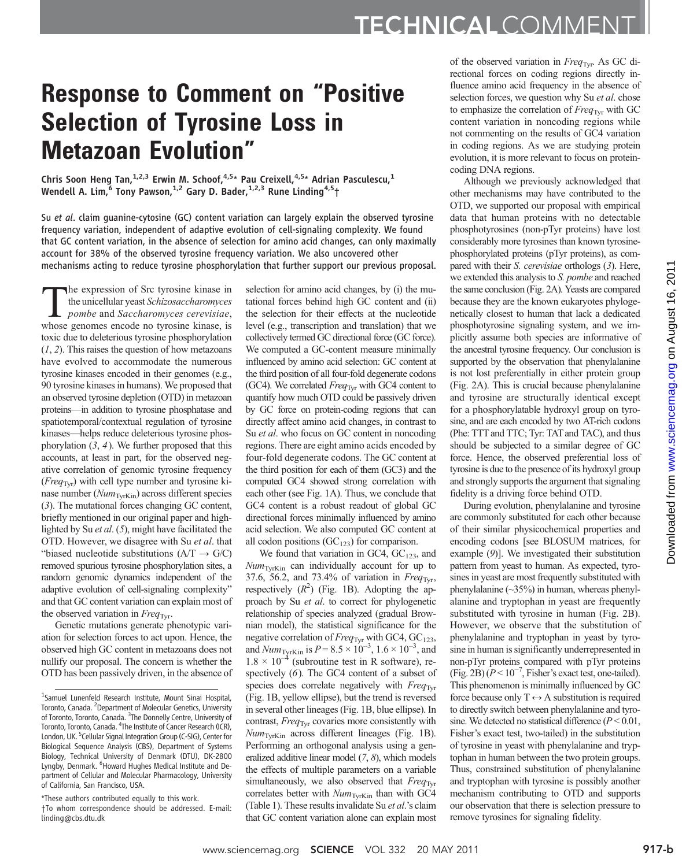# Response to Comment on "Positive Selection of Tyrosine Loss in Metazoan Evolution"

Chris Soon Heng Tan,<sup>1,2,3</sup> Erwin M. Schoof,<sup>4,5</sup>\* Pau Creixell,<sup>4,5</sup>\* Adrian Pasculescu,<sup>1</sup> Wendell A. Lim,  $6$  Tony Pawson,  $1.2$  Gary D. Bader,  $1.2.3$  Rune Linding  $4.5$  †

Su et al. claim guanine-cytosine (GC) content variation can largely explain the observed tyrosine frequency variation, independent of adaptive evolution of cell-signaling complexity. We found that GC content variation, in the absence of selection for amino acid changes, can only maximally account for 38% of the observed tyrosine frequency variation. We also uncovered other mechanisms acting to reduce tyrosine phosphorylation that further support our previous proposal.

The expression of Src tyrosine kinase in<br>the unicellular yeast *Schizosaccharomyces*<br>pombe and *Saccharomyces cerevisiae*,<br>whose genomes encode no tyrosine kinase is the unicellular yeast Schizosaccharomyces whose genomes encode no tyrosine kinase, is toxic due to deleterious tyrosine phosphorylation  $(1, 2)$ . This raises the question of how metazoans have evolved to accommodate the numerous tyrosine kinases encoded in their genomes (e.g., 90 tyrosine kinases in humans). We proposed that an observed tyrosine depletion (OTD) in metazoan proteins—in addition to tyrosine phosphatase and spatiotemporal/contextual regulation of tyrosine kinases—helps reduce deleterious tyrosine phosphorylation  $(3, 4)$ . We further proposed that this accounts, at least in part, for the observed negative correlation of genomic tyrosine frequency  $(Freq<sub>Tyr</sub>)$  with cell type number and tyrosine kinase number ( $Num<sub>TvrKin</sub>$ ) across different species (3). The mutational forces changing GC content, briefly mentioned in our original paper and highlighted by Su et al. (5), might have facilitated the OTD. However, we disagree with Su et al. that "biased nucleotide substitutions  $(A/T \rightarrow G/C)$ removed spurious tyrosine phosphorylation sites, a random genomic dynamics independent of the adaptive evolution of cell-signaling complexity" and that GC content variation can explain most of the observed variation in  $Freq<sub>Tyr</sub>$ .

Genetic mutations generate phenotypic variation for selection forces to act upon. Hence, the observed high GC content in metazoans does not nullify our proposal. The concern is whether the OTD has been passively driven, in the absence of

\*These authors contributed equally to this work. †To whom correspondence should be addressed. E-mail: linding@cbs.dtu.dk

selection for amino acid changes, by (i) the mutational forces behind high GC content and (ii) the selection for their effects at the nucleotide level (e.g., transcription and translation) that we collectively termed GC directional force (GC force). We computed a GC-content measure minimally influenced by amino acid selection: GC content at the third position of all four-fold degenerate codons (GC4). We correlated  $Freq<sub>Tyr</sub>$  with GC4 content to quantify how much OTD could be passively driven by GC force on protein-coding regions that can directly affect amino acid changes, in contrast to Su et al. who focus on GC content in noncoding regions. There are eight amino acids encoded by four-fold degenerate codons. The GC content at the third position for each of them (GC3) and the computed GC4 showed strong correlation with each other (see Fig. 1A). Thus, we conclude that GC4 content is a robust readout of global GC directional forces minimally influenced by amino acid selection. We also computed GC content at all codon positions  $(GC_{123})$  for comparison.

We found that variation in GC4,  $GC<sub>123</sub>$ , and  $Num<sub>TvKin</sub>$  can individually account for up to 37.6, 56.2, and 73.4% of variation in  $Freq_{Tvr}$ , respectively  $(R^2)$  (Fig. 1B). Adopting the approach by Su et al. to correct for phylogenetic relationship of species analyzed (gradual Brownian model), the statistical significance for the negative correlation of  $Freq_{\text{Tor}}$  with GC4, GC<sub>123</sub>, and  $Num_{TyrKin}$  is  $P = 8.5 \times 10^{-3}$ ,  $1.6 \times 10^{-3}$ , and  $1.8 \times 10^{-4}$  (subroutine test in R software), respectively (6). The GC4 content of a subset of species does correlate negatively with  $Freq<sub>Tvr</sub>$ (Fig. 1B, yellow ellipse), but the trend is reversed in several other lineages (Fig. 1B, blue ellipse). In contrast,  $Freq<sub>Tyr</sub>$  covaries more consistently with  $Num<sub>TvrKin</sub>$  across different lineages (Fig. 1B). Performing an orthogonal analysis using a generalized additive linear model (7, 8), which models the effects of multiple parameters on a variable simultaneously, we also observed that  $Freq<sub>Tvr</sub>$ correlates better with  $Num<sub>TvrKin</sub>$  than with GC4 (Table 1). These results invalidate Su et al.'s claim that GC content variation alone can explain most

of the observed variation in  $Freq_{Tyr}$ . As GC directional forces on coding regions directly influence amino acid frequency in the absence of selection forces, we question why Su et al. chose to emphasize the correlation of  $Freq<sub>Tyr</sub>$  with GC content variation in noncoding regions while not commenting on the results of GC4 variation in coding regions. As we are studying protein evolution, it is more relevant to focus on proteincoding DNA regions.

Although we previously acknowledged that other mechanisms may have contributed to the OTD, we supported our proposal with empirical data that human proteins with no detectable phosphotyrosines (non-pTyr proteins) have lost considerably more tyrosines than known tyrosinephosphorylated proteins (pTyr proteins), as compared with their S. cerevisiae orthologs (3). Here, we extended this analysis to S. pombe and reached the same conclusion (Fig. 2A). Yeasts are compared because they are the known eukaryotes phylogenetically closest to human that lack a dedicated phosphotyrosine signaling system, and we implicitly assume both species are informative of the ancestral tyrosine frequency. Our conclusion is supported by the observation that phenylalanine is not lost preferentially in either protein group (Fig. 2A). This is crucial because phenylalanine and tyrosine are structurally identical except for a phosphorylatable hydroxyl group on tyrosine, and are each encoded by two AT-rich codons (Phe: TTT and TTC; Tyr: TAT and TAC), and thus should be subjected to a similar degree of GC force. Hence, the observed preferential loss of tyrosine is due to the presence of its hydroxyl group and strongly supports the argument that signaling fidelity is a driving force behind OTD.

During evolution, phenylalanine and tyrosine are commonly substituted for each other because of their similar physicochemical properties and encoding codons [see BLOSUM matrices, for example (9)]. We investigated their substitution pattern from yeast to human. As expected, tyrosines in yeast are most frequently substituted with phenylalanine (~35%) in human, whereas phenylalanine and tryptophan in yeast are frequently substituted with tyrosine in human (Fig. 2B). However, we observe that the substitution of phenylalanine and tryptophan in yeast by tyrosine in human is significantly underrepresented in non-pTyr proteins compared with pTyr proteins  $(Fig. 2B) (P < 10^{-7})$ , Fisher's exact test, one-tailed). This phenomenon is minimally influenced by GC force because only  $T \leftrightarrow A$  substitution is required to directly switch between phenylalanine and tyrosine. We detected no statistical difference  $(P < 0.01$ , Fisher's exact test, two-tailed) in the substitution of tyrosine in yeast with phenylalanine and tryptophan in human between the two protein groups. Thus, constrained substitution of phenylalanine and tryptophan with tyrosine is possibly another mechanism contributing to OTD and supports our observation that there is selection pressure to remove tyrosines for signaling fidelity. ropsyrops the tractic superior of the content of the syron material and syron and syron and syron and syron and syron and syron and syron and syron and syron and syron and syron and syron and syron and syron and syron and

<sup>&</sup>lt;sup>1</sup>Samuel Lunenfeld Research Institute, Mount Sinai Hospital, Toronto, Canada. <sup>2</sup>Department of Molecular Genetics, University of Toronto, Toronto, Canada. <sup>3</sup>The Donnelly Centre, University of Toronto, Toronto, Canada. <sup>4</sup>The Institute of Cancer Research (ICR), London, UK.<sup>5</sup> Cellular Signal Integration Group (C-SIG), Center for Biological Sequence Analysis (CBS), Department of Systems Biology, Technical University of Denmark (DTU), DK-2800 Lyngby, Denmark. <sup>6</sup>Howard Hughes Medical Institute and Department of Cellular and Molecular Pharmacology, University of California, San Francisco, USA.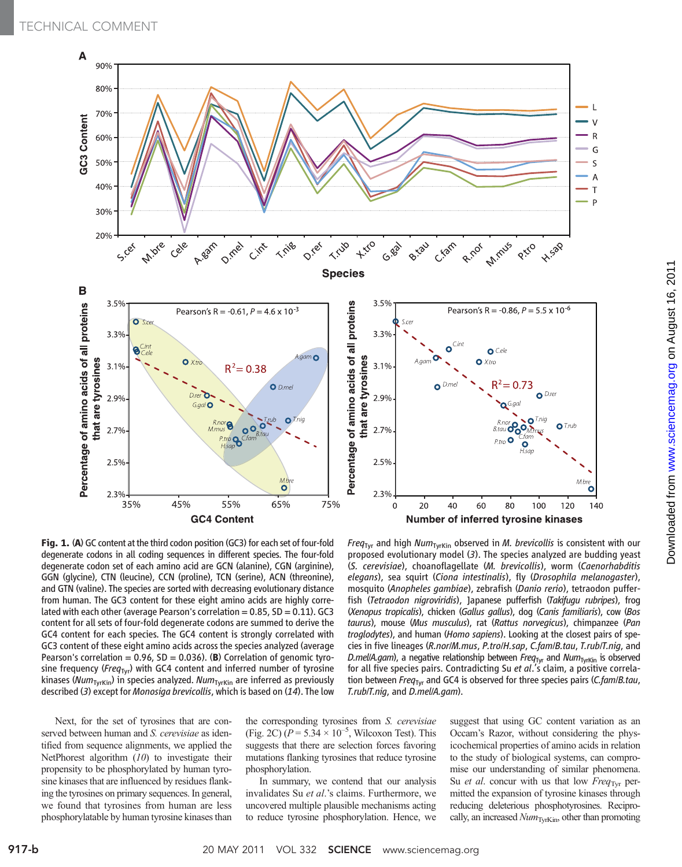

Downloaded from www.sciencemag.org on August 16, 2011 on August 16, 2011 [www.sciencemag.org](http://www.sciencemag.org/) Downloaded from

Fig. 1. (A) GC content at the third codon position (GC3) for each set of four-fold degenerate codons in all coding sequences in different species. The four-fold degenerate codon set of each amino acid are GCN (alanine), CGN (arginine), GGN (glycine), CTN (leucine), CCN (proline), TCN (serine), ACN (threonine), and GTN (valine). The species are sorted with decreasing evolutionary distance from human. The GC3 content for these eight amino acids are highly correlated with each other (average Pearson's correlation  $= 0.85$ , SD  $= 0.11$ ). GC3 content for all sets of four-fold degenerate codons are summed to derive the GC4 content for each species. The GC4 content is strongly correlated with GC3 content of these eight amino acids across the species analyzed (average Pearson's correlation =  $0.96$ , SD =  $0.036$ ). (B) Correlation of genomic tyrosine frequency (Freq<sub>Tyr</sub>) with GC4 content and inferred number of tyrosine kinases (Num<sub>TyrKin</sub>) in species analyzed. Num<sub>TyrKin</sub> are inferred as previously described (3) except for Monosiga brevicollis, which is based on (14). The low

Next, for the set of tyrosines that are conserved between human and S. cerevisiae as identified from sequence alignments, we applied the NetPhorest algorithm (10) to investigate their propensity to be phosphorylated by human tyrosine kinases that are influenced by residues flanking the tyrosines on primary sequences. In general, we found that tyrosines from human are less phosphorylatable by human tyrosine kinases than

Freq<sub>Tyr</sub> and high Num<sub>TyrKin</sub> observed in M. brevicollis is consistent with our proposed evolutionary model (3). The species analyzed are budding yeast (S. cerevisiae), choanoflagellate (M. brevicollis), worm (Caenorhabditis elegans), sea squirt (Ciona intestinalis), fly (Drosophila melanogaster), mosquito (Anopheles gambiae), zebrafish (Danio rerio), tetraodon pufferfish (Tetraodon nigroviridis), Japanese pufferfish (Takifugu rubripes), frog (Xenopus tropicalis), chicken (Gallus gallus), dog (Canis familiaris), cow (Bos taurus), mouse (Mus musculus), rat (Rattus norvegicus), chimpanzee (Pan troglodytes), and human (Homo sapiens). Looking at the closest pairs of species in five lineages (R.nor/M.mus, P.tro/H.sap, C.fam/B.tau, T.rub/T.nig, and D.mel/A.gam), a negative relationship between Freq<sub>Tyr</sub> and Num<sub>TyrKin</sub> is observed for all five species pairs. Contradicting Su et al.'s claim, a positive correlation between *Freq<sub>Tyr</sub>* and GC4 is observed for three species pairs (*C.fam/B.tau*, T.rub/T.nig, and D.mel/A.gam).

the corresponding tyrosines from S. cerevisiae (Fig. 2C)  $(P = 5.34 \times 10^{-5}$ , Wilcoxon Test). This suggests that there are selection forces favoring mutations flanking tyrosines that reduce tyrosine phosphorylation.

In summary, we contend that our analysis invalidates Su et al.'s claims. Furthermore, we uncovered multiple plausible mechanisms acting to reduce tyrosine phosphorylation. Hence, we

suggest that using GC content variation as an Occam's Razor, without considering the physicochemical properties of amino acids in relation to the study of biological systems, can compromise our understanding of similar phenomena. Su et al. concur with us that low  $Freq<sub>Tyr</sub>$  permitted the expansion of tyrosine kinases through reducing deleterious phosphotyrosines. Reciprocally, an increased  $Num<sub>TvKin</sub>$ , other than promoting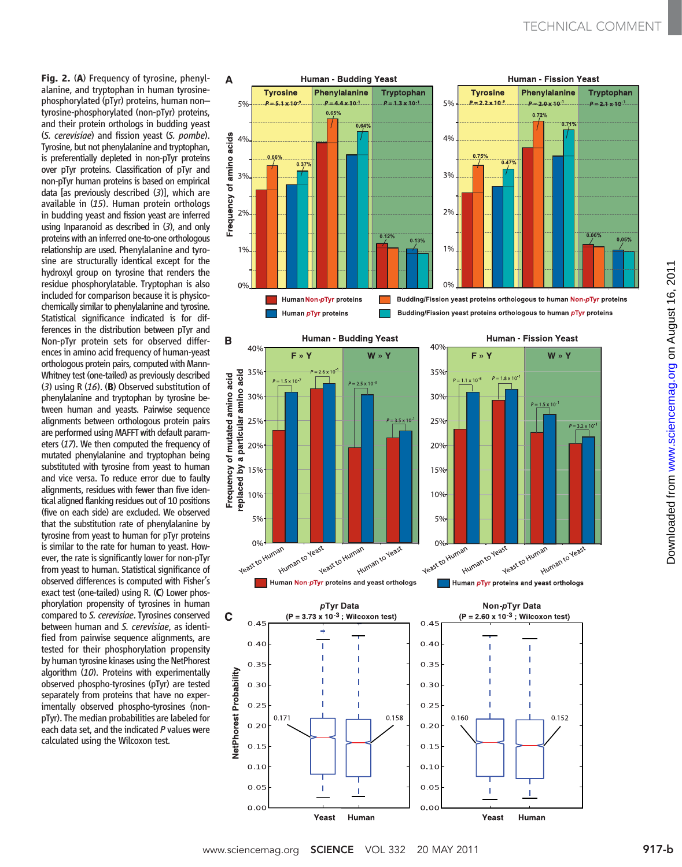Fig. 2. (A) Frequency of tyrosine, phenylalanine, and tryptophan in human tyrosinephosphorylated (pTyr) proteins, human non– tyrosine-phosphorylated (non-pTyr) proteins, and their protein orthologs in budding yeast (S. cerevisiae) and fission yeast (S. pombe). Tyrosine, but not phenylalanine and tryptophan, is preferentially depleted in non-pTyr proteins over pTyr proteins. Classification of pTyr and non-pTyr human proteins is based on empirical data [as previously described (3)], which are available in (15). Human protein orthologs in budding yeast and fission yeast are inferred using Inparanoid as described in (3), and only proteins with an inferred one-to-one orthologous relationship are used. Phenylalanine and tyrosine are structurally identical except for the hydroxyl group on tyrosine that renders the residue phosphorylatable. Tryptophan is also included for comparison because it is physicochemically similar to phenylalanine and tyrosine. Statistical significance indicated is for differences in the distribution between pTyr and Non-pTyr protein sets for observed differences in amino acid frequency of human-yeast orthologous protein pairs, computed with Mann-Whitney test (one-tailed) as previously described (3) using R  $(16)$ . (B) Observed substitution of phenylalanine and tryptophan by tyrosine between human and yeasts. Pairwise sequence alignments between orthologous protein pairs are performed using MAFFT with default parameters (17). We then computed the frequency of mutated phenylalanine and tryptophan being substituted with tyrosine from yeast to human and vice versa. To reduce error due to faulty alignments, residues with fewer than five identical aligned flanking residues out of 10 positions (five on each side) are excluded. We observed that the substitution rate of phenylalanine by tyrosine from yeast to human for pTyr proteins is similar to the rate for human to yeast. However, the rate is significantly lower for non-pTyr from yeast to human. Statistical significance of observed differences is computed with Fisher's exact test (one-tailed) using R. (C) Lower phosphorylation propensity of tyrosines in human compared to S. cerevisiae. Tyrosines conserved between human and S. cerevisiae, as identified from pairwise sequence alignments, are tested for their phosphorylation propensity by human tyrosine kinases using the NetPhorest algorithm (10). Proteins with experimentally observed phospho-tyrosines (pTyr) are tested separately from proteins that have no experimentally observed phospho-tyrosines (nonpTyr). The median probabilities are labeled for each data set, and the indicated P values were calculated using the Wilcoxon test.



Downloaded from www.sciencemag.org on August 16, 2011 on August 16, 2011 [www.sciencemag.org](http://www.sciencemag.org/) Downloaded from